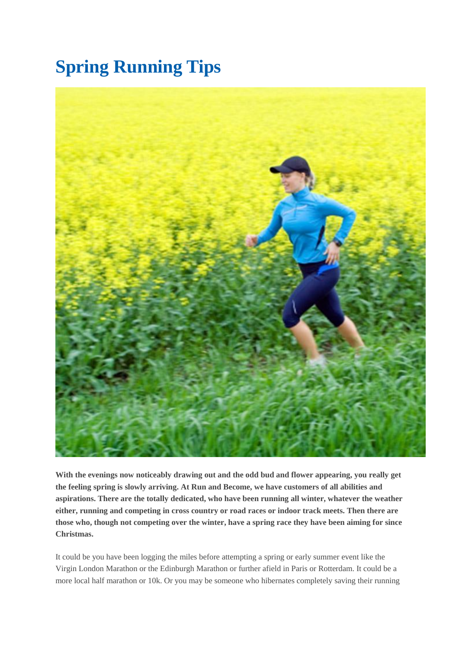# **Spring Running Tips**



**With the evenings now noticeably drawing out and the odd bud and flower appearing, you really get the feeling spring is slowly arriving. At Run and Become, we have customers of all abilities and aspirations. There are the totally dedicated, who have been running all winter, whatever the weather either, running and competing in cross country or road races or indoor track meets. Then there are those who, though not competing over the winter, have a spring race they have been aiming for since Christmas.**

It could be you have been logging the miles before attempting a spring or early summer event like the Virgin London Marathon or the Edinburgh Marathon or further afield in Paris or Rotterdam. It could be a more local half marathon or 10k. Or you may be someone who hibernates completely saving their running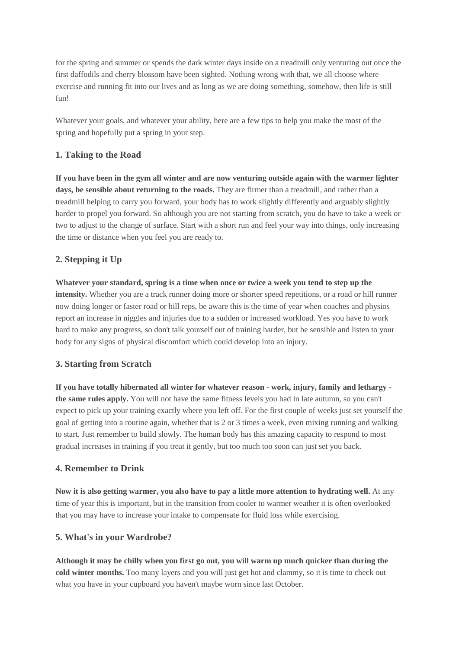for the spring and summer or spends the dark winter days inside on a treadmill only venturing out once the first daffodils and cherry blossom have been sighted. Nothing wrong with that, we all choose where exercise and running fit into our lives and as long as we are doing something, somehow, then life is still fun!

Whatever your goals, and whatever your ability, here are a few tips to help you make the most of the spring and hopefully put a spring in your step.

## **1. Taking to the Road**

**If you have been in the gym all winter and are now venturing outside again with the warmer lighter days, be sensible about returning to the roads.** They are firmer than a treadmill, and rather than a treadmill helping to carry you forward, your body has to work slightly differently and arguably slightly harder to propel you forward. So although you are not starting from scratch, you do have to take a week or two to adjust to the change of surface. Start with a short run and feel your way into things, only increasing the time or distance when you feel you are ready to.

## **2. Stepping it Up**

**Whatever your standard, spring is a time when once or twice a week you tend to step up the intensity.** Whether you are a track runner doing more or shorter speed repetitions, or a road or hill runner now doing longer or faster road or hill reps, be aware this is the time of year when coaches and physios report an increase in niggles and injuries due to a sudden or increased workload. Yes you have to work hard to make any progress, so don't talk yourself out of training harder, but be sensible and listen to your body for any signs of physical discomfort which could develop into an injury.

### **3. Starting from Scratch**

**If you have totally hibernated all winter for whatever reason - work, injury, family and lethargy the same rules apply.** You will not have the same fitness levels you had in late autumn, so you can't expect to pick up your training exactly where you left off. For the first couple of weeks just set yourself the goal of getting into a routine again, whether that is 2 or 3 times a week, even mixing running and walking to start. Just remember to build slowly. The human body has this amazing capacity to respond to most gradual increases in training if you treat it gently, but too much too soon can just set you back.

### **4. Remember to Drink**

**Now it is also getting warmer, you also have to pay a little more attention to hydrating well.** At any time of year this is important, but in the transition from cooler to warmer weather it is often overlooked that you may have to increase your intake to compensate for fluid loss while exercising.

### **5. What's in your Wardrobe?**

**Although it may be chilly when you first go out, you will warm up much quicker than during the cold winter months.** Too many layers and you will just get hot and clammy, so it is time to check out what you have in your cupboard you haven't maybe worn since last October.